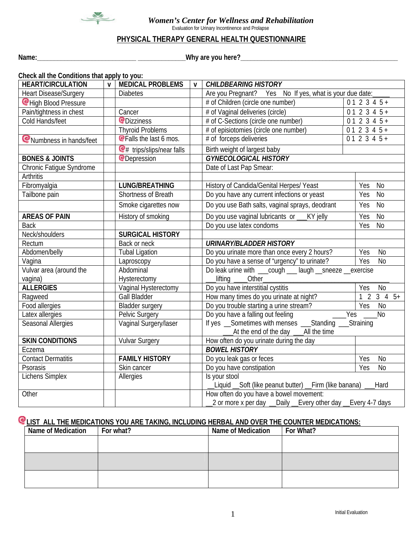

 *Women's Center for Wellness and Rehabilitation*

Evaluation for Urinary Incontinence and Prolapse

## **PHYSICAL THERAPY GENERAL HEALTH QUESTIONNAIRE**

**Name:\_\_\_\_\_\_\_\_\_\_\_\_\_\_\_\_\_\_\_\_\_\_\_\_\_\_\_\_\_ \_\_\_\_\_\_\_\_\_\_\_\_\_\_Why are you here?\_\_\_\_\_\_\_\_\_\_\_\_\_\_\_\_\_\_\_\_\_\_\_\_\_\_\_\_\_\_\_\_\_\_\_\_\_\_\_\_\_\_\_\_\_\_**

| Check all the Conditions that apply to you: |              |                                          |                                                                |                                                                       |                       |  |  |
|---------------------------------------------|--------------|------------------------------------------|----------------------------------------------------------------|-----------------------------------------------------------------------|-----------------------|--|--|
| <b>HEART/CIRCULATION</b>                    | $\mathsf{v}$ | <b>MEDICAL PROBLEMS</b>                  | $\mathbf{V}$                                                   | <b>CHILDBEARING HISTORY</b>                                           |                       |  |  |
| <b>Heart Disease/Surgery</b>                |              | <b>Diabetes</b>                          |                                                                | Are you Pregnant? Yes No If yes, what is your due date:               |                       |  |  |
| CHigh Blood Pressure                        |              |                                          |                                                                | # of Children (circle one number)                                     | $012345+$             |  |  |
| Pain/tightness in chest                     |              | Cancer                                   |                                                                | # of Vaginal deliveries (circle)                                      | $012345+$             |  |  |
| Cold Hands/feet                             |              | <b>Q</b> Dizziness                       |                                                                | # of C-Sections (circle one number)                                   | $012345+$             |  |  |
|                                             |              | <b>Thyroid Problems</b>                  |                                                                | # of episiotomies (circle one number)                                 | $012345+$             |  |  |
| Numbness in hands/feet                      |              | <b>@Falls the last 6 mos.</b>            |                                                                | # of forceps deliveries                                               | $012345+$             |  |  |
|                                             |              | $\mathbf{e}_{\#}$ trips/slips/near falls |                                                                | Birth weight of largest baby                                          |                       |  |  |
| <b>BONES &amp; JOINTS</b>                   |              | <b>@Depression</b>                       |                                                                | <b>GYNECOLOGICAL HISTORY</b>                                          |                       |  |  |
| Chronic Fatigue Syndrome                    |              |                                          |                                                                | Date of Last Pap Smear:                                               |                       |  |  |
| Arthritis                                   |              |                                          |                                                                |                                                                       |                       |  |  |
| Fibromyalgia                                |              | <b>LUNG/BREATHING</b>                    |                                                                | History of Candida/Genital Herpes/ Yeast                              | No<br>Yes             |  |  |
| Tailbone pain                               |              | Shortness of Breath                      |                                                                | Do you have any current infections or yeast                           | Yes<br><b>No</b>      |  |  |
|                                             |              | Smoke cigarettes now                     |                                                                | Do you use Bath salts, vaginal sprays, deodrant                       | Yes<br><b>No</b>      |  |  |
| <b>AREAS OF PAIN</b>                        |              | History of smoking                       |                                                                | Do you use vaginal lubricants or _<br>KY jelly                        | N <sub>o</sub><br>Yes |  |  |
| <b>Back</b>                                 |              |                                          |                                                                | Do you use latex condoms                                              | Yes<br>N <sub>0</sub> |  |  |
| Neck/shoulders                              |              | <b>SURGICAL HISTORY</b>                  |                                                                |                                                                       |                       |  |  |
| Rectum                                      |              | Back or neck                             |                                                                | <b>URINARY/BLADDER HISTORY</b>                                        |                       |  |  |
| Abdomen/belly                               |              | <b>Tubal Ligation</b>                    |                                                                | Do you urinate more than once every 2 hours?<br>N <sub>0</sub><br>Yes |                       |  |  |
| Vagina                                      |              | Laproscopy                               |                                                                | Do you have a sense of "urgency" to urinate?<br>Yes<br><b>No</b>      |                       |  |  |
| Vulvar area (around the                     |              | Abdominal                                |                                                                | Do leak urine with ___cough ___ laugh __sneeze __exercise             |                       |  |  |
| vagina)                                     |              | Hysterectomy                             |                                                                | lifting _____ Other_                                                  |                       |  |  |
| <b>ALLERGIES</b>                            |              | Vaginal Hysterectomy                     |                                                                | Do you have interstitial cystitis<br>Yes<br><b>No</b>                 |                       |  |  |
| Ragweed                                     |              | <b>Gall Bladder</b>                      |                                                                | How many times do you urinate at night?                               | $1\ 2\ 3\ 4\ 5+$      |  |  |
| Food allergies                              |              | <b>Bladder surgery</b>                   |                                                                | Do you trouble starting a urine stream?<br>$\overline{N}$<br>Yes      |                       |  |  |
| Latex allergies                             |              | Pelvic Surgery                           |                                                                | Do you have a falling out feeling                                     | Yes<br><b>No</b>      |  |  |
| Seasonal Allergies                          |              | Vaginal Surgery/laser                    |                                                                | If yes __Sometimes with menses ___Standing ___Straining               |                       |  |  |
|                                             |              |                                          | At the end of the day ____All the time                         |                                                                       |                       |  |  |
| <b>SKIN CONDITIONS</b>                      |              | <b>Vulvar Surgery</b>                    |                                                                | How often do you urinate during the day                               |                       |  |  |
| Eczema                                      |              |                                          |                                                                | <b>BOWEL HISTORY</b>                                                  |                       |  |  |
| <b>Contact Dermatitis</b>                   |              | <b>FAMILY HISTORY</b>                    |                                                                | Do you leak gas or feces<br>Yes<br>N <sub>0</sub>                     |                       |  |  |
| Psorasis                                    |              | Skin cancer                              |                                                                | Do you have constipation<br>Yes<br>N <sub>0</sub>                     |                       |  |  |
| Lichens Simplex                             |              | Allergies                                | Is your stool                                                  |                                                                       |                       |  |  |
|                                             |              |                                          | Liquid _Soft (like peanut butter) __Firm (like banana)<br>Hard |                                                                       |                       |  |  |
| Other                                       |              |                                          | How often do you have a bowel movement:                        |                                                                       |                       |  |  |
|                                             |              |                                          | 2 or more x per day __Daily __Every other day __Every 4-7 days |                                                                       |                       |  |  |

# **LIST ALL THE MEDICATIONS YOU ARE TAKING, INCLUDING HERBAL AND OVER THE COUNTER MEDICATIONS:**

| <b>Name of Medication</b> | For what? | <b>Name of Medication</b> | For What? |
|---------------------------|-----------|---------------------------|-----------|
|                           |           |                           |           |
|                           |           |                           |           |
|                           |           |                           |           |
|                           |           |                           |           |
|                           |           |                           |           |
|                           |           |                           |           |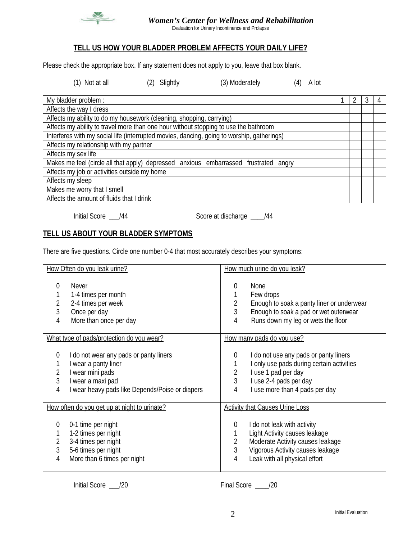

### *Women's Center for Wellness and Rehabilitation*

Evaluation for Urinary Incontinence and Prolapse

# **TELL US HOW YOUR BLADDER PROBLEM AFFECTS YOUR DAILY LIFE?**

Please check the appropriate box. If any statement does not apply to you, leave that box blank.

(1) Not at all (2) Slightly (3) Moderately (4) A lot

| My bladder problem :                                                                       |  |  | 4 |
|--------------------------------------------------------------------------------------------|--|--|---|
| Affects the way I dress                                                                    |  |  |   |
| Affects my ability to do my housework (cleaning, shopping, carrying)                       |  |  |   |
| Affects my ability to travel more than one hour without stopping to use the bathroom       |  |  |   |
| Interferes with my social life (interrupted movies, dancing, going to worship, gatherings) |  |  |   |
| Affects my relationship with my partner                                                    |  |  |   |
| Affects my sex life                                                                        |  |  |   |
| Makes me feel (circle all that apply) depressed anxious embarrassed frustrated angry       |  |  |   |
| Affects my job or activities outside my home                                               |  |  |   |
| Affects my sleep                                                                           |  |  |   |
| Makes me worry that I smell                                                                |  |  |   |
| Affects the amount of fluids that I drink                                                  |  |  |   |

Initial Score \_\_\_/44 Score at discharge \_\_\_\_/44

# **TELL US ABOUT YOUR BLADDER SYMPTOMS**

There are five questions. Circle one number 0-4 that most accurately describes your symptoms:

| How Often do you leak urine?                                                                                                                                                                       | How much urine do you leak?                                                                                                                                                               |  |  |
|----------------------------------------------------------------------------------------------------------------------------------------------------------------------------------------------------|-------------------------------------------------------------------------------------------------------------------------------------------------------------------------------------------|--|--|
| <b>Never</b><br>0<br>1-4 times per month<br>1<br>$\frac{2}{3}$<br>2-4 times per week<br>Once per day<br>4<br>More than once per day                                                                | None<br>$\left( \right)$<br>Few drops<br>Enough to soak a panty liner or underwear<br>3<br>Enough to soak a pad or wet outerwear<br>Runs down my leg or wets the floor<br>4               |  |  |
| What type of pads/protection do you wear?                                                                                                                                                          | How many pads do you use?                                                                                                                                                                 |  |  |
| I do not wear any pads or panty liners<br>$\theta$<br>I wear a panty liner<br>$\overline{2}$<br>I wear mini pads<br>3<br>I wear a maxi pad<br>I wear heavy pads like Depends/Poise or diapers<br>4 | I do not use any pads or panty liners<br>0<br>I only use pads during certain activities<br>I use 1 pad per day<br>2<br>3<br>I use 2-4 pads per day<br>I use more than 4 pads per day<br>4 |  |  |
| How often do you get up at night to urinate?                                                                                                                                                       | <b>Activity that Causes Urine Loss</b>                                                                                                                                                    |  |  |
| 0-1 time per night<br>0<br>1-2 times per night<br>$\overline{2}$<br>3-4 times per night<br>3<br>5-6 times per night<br>More than 6 times per night<br>4                                            | I do not leak with activity<br>0<br>Light Activity causes leakage<br>Moderate Activity causes leakage<br>Vigorous Activity causes leakage<br>3<br>Leak with all physical effort<br>4      |  |  |

Initial Score  $\frac{1}{20}$  /20